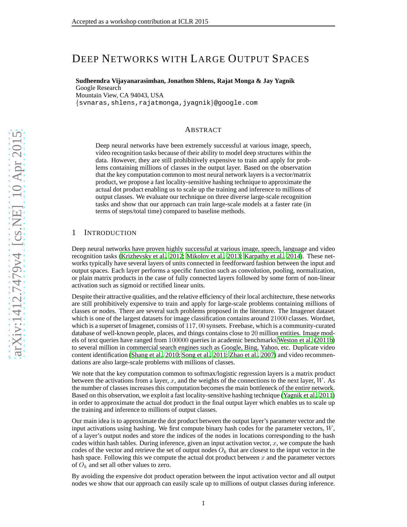# DEEP NETWORKS WITH LARGE OUTPUT SPACES

**Sudheendra Vijayanarasimhan, Jonathon Shlens, Rajat Monga & Jay Yagnik**

Google Research Mountain View, CA 94043, USA {svnaras,shlens,rajatmonga,jyagnik }@google.com

#### ABSTRACT

Deep neural networks have been extremely successful at various image, speech, video recognition tasks because of their ability to model deep structures within the data. However, they are still prohibitively expensive to train and apply for problems containing millions of classes in the output layer. Based on the observation that the key computation common to most neural network layers is a vector/matrix product, we propose a fast locality-sensitive hashing technique to approximate the actual dot product enabling us to scale up the training and inference to millions of output classes. We evaluate our technique on three diverse large-scale recognition tasks and show that our approach can train large-scale models at a faster rate (in terms of steps/total time) compared to baseline methods.

#### 1 INTRODUCTION

Deep neural networks have proven highly successful at various image, speech, language and video recognition tasks [\(Krizhevsky et al., 2012](#page-8-0); [Mikolov et al.,](#page-8-1) [2013;](#page-8-1) [Karpathy et al.](#page-8-2), [2014\)](#page-8-2). These networks typically have several layers of units connected in feedforward fashion between the input and output spaces. Each layer performs a specific function such as convolution, pooling, normalization, or plain matrix products in the case of fully connected layers followed by some form of non-linear activation such as sigmoid or rectified linear units.

Despite their attractive qualities, and the relative efficiency of their local architecture, these networks are still prohibitively expensive to train and apply for large-scale problems containing millions of classes or nodes. There are several such problems proposed in the literature. The Imagenet dataset which is one of the largest datasets for image classification contains around 21000 classes. Wordnet, which is a superset of Imagenet, consists of 117 , 00 synsets. Freebase, which is a community-curated database of well-known people, places, and things contains close to 20 million entities. Image models of text queries have ranged from 100000 queries in academic benchmarks [Weston et al.](#page-8-3) [\(2011b\)](#page-8-3) to several million in commercial search engines such as Google, Bing, Yahoo, etc. Duplicate video content identification [\(Shang et al.](#page-8-4), [2010;](#page-8-4) [Song et al.](#page-8-5), [2011;](#page-8-5) [Zhao et al., 2007\)](#page-8-6) and video recommendations are also large-scale problems with millions of classes.

We note that the key computation common to softmax/logistic regression layers is a matrix product between the activations from a layer,  $x$ , and the weights of the connections to the next layer,  $W$ . As the number of classes increases this computation becomes the main bottleneck of the entire network. Based on this observation, we exploit a fast locality-sensitive hashing technique [\(Yagnik et al.](#page-8-7), [2011\)](#page-8-7) in order to approximate the actual dot product in the final output layer which enables us to scale up the training and inference to millions of output classes.

Our main idea is to approximate the dot product between the output layer's parameter vector and the input activations using hashing. We first compute binary hash codes for the parameter vectors,  $W$ , of a layer's output nodes and store the indices of the nodes in locations corresponding to the hash codes within hash tables. During inference, given an input activation vector,  $x$ , we compute the hash codes of the vector and retrieve the set of output nodes  $O_k$  that are closest to the input vector in the hash space. Following this we compute the actual dot product between  $x$  and the parameter vectors of  $O_k$  and set all other values to zero.

By avoiding the expensive dot product operation between the input activation vector and all output nodes we show that our approach can easily scale up to millions of output classes during inference.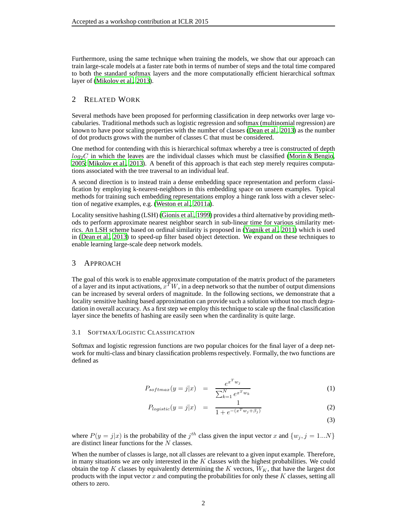Furthermore, using the same technique when training the models, we show that our approach can train large-scale models at a faster rate both in terms of number of steps and the total time compared to both the standard softmax layers and the more computationally efficient hierarchical softmax layer of [\(Mikolov et al., 2013\)](#page-8-1).

# 2 RELATED WORK

Several methods have been proposed for performing classification in deep networks over large vocabularies. Traditional methods such as logistic regression and softmax (multinomial regression) are known to have poor scaling properties with the number of classes [\(Dean et al.](#page-8-8), [2013\)](#page-8-8) as the number of dot products grows with the number of classes C that must be considered.

One method for contending with this is hierarchical softmax whereby a tree is constructed of depth  $log_2C$  in which the leaves are the individual classes which must be classified [\(Morin & Bengio,](#page-8-9) [2005;](#page-8-9) [Mikolov et al., 2013\)](#page-8-1). A benefit of this approach is that each step merely requires computations associated with the tree traversal to an individual leaf.

A second direction is to instead train a dense embedding space representation and perform classification by employing k-nearest-neighbors in this embedding space on unseen examples. Typical methods for training such embedding representations employ a hinge rank loss with a clever selection of negative examples, e.g. [\(Weston et al., 2011a\)](#page-8-10).

Locality sensitive hashing (LSH) [\(Gionis et al., 1999](#page-8-11)) provides a third alternative by providing methods to perform approximate nearest neighbor search in sub-linear time for various similarity metrics. An LSH scheme based on ordinal similarity is proposed in [\(Yagnik et al., 2011\)](#page-8-7) which is used in [\(Dean et al., 2013\)](#page-8-8) to speed-up filter based object detection. We expand on these techniques to enable learning large-scale deep network models.

# 3 APPROACH

The goal of this work is to enable approximate computation of the matrix product of the parameters of a layer and its input activations,  $x^T W$ , in a deep network so that the number of output dimensions can be increased by several orders of magnitude. In the following sections, we demonstrate that a locality sensitive hashing based approximation can provide such a solution without too much degradation in overall accuracy. As a first step we employ this technique to scale up the final classification layer since the benefits of hashing are easily seen when the cardinality is quite large.

#### 3.1 SOFTMAX/LOGISTIC CLASSIFICATION

Softmax and logistic regression functions are two popular choices for the final layer of a deep network for multi-class and binary classification problems respectively. Formally, the two functions are defined as

<span id="page-1-0"></span>
$$
P_{softmax}(y = j|x) = \frac{e^{x^T w_j}}{\sum_{k=1}^{N} e^{x^T w_k}}
$$
\n(1)

$$
P_{logistic}(y = j|x) = \frac{1}{1 + e^{-(x^T w_j + \beta_j)}}
$$
(2)

(3)

where  $P(y = j|x)$  is the probability of the  $j<sup>th</sup>$  class given the input vector x and  $\{w_j, j = 1...N\}$ are distinct linear functions for the  $N$  classes.

When the number of classes is large, not all classes are relevant to a given input example. Therefore, in many situations we are only interested in the  $K$  classes with the highest probabilities. We could obtain the top K classes by equivalently determining the K vectors,  $W_K$ , that have the largest dot products with the input vector  $x$  and computing the probabilities for only these  $K$  classes, setting all others to zero.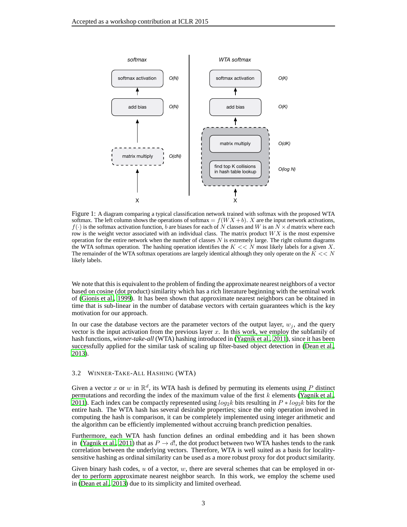

<span id="page-2-0"></span>Figure 1: A diagram comparing a typical classification network trained with softmax with the proposed WTA softmax. The left column shows the operations of softmax =  $f(W X + b)$ . X are the input network activations,  $f(\cdot)$  is the softmax activation function, b are biases for each of N classes and W is an  $N \times d$  matrix where each row is the weight vector associated with an individual class. The matrix product  $WX$  is the most expensive operation for the entire network when the number of classes  $N$  is extremely large. The right column diagrams the WTA softmax operation. The hashing operation identifies the  $K \ll N$  most likely labels for a given X. The remainder of the WTA softmax operations are largely identical although they only operate on the  $K \ll N$ likely labels.

We note that this is equivalent to the problem of finding the approximate nearest neighbors of a vector based on cosine (dot product) similarity which has a rich literature beginning with the seminal work of [\(Gionis et al.](#page-8-11), [1999\)](#page-8-11). It has been shown that approximate nearest neighbors can be obtained in time that is sub-linear in the number of database vectors with certain guarantees which is the key motivation for our approach.

In our case the database vectors are the parameter vectors of the output layer,  $w_j$ , and the query vector is the input activation from the previous layer  $x$ . In this work, we employ the subfamily of hash functions, *winner-take-all* (WTA) hashing introduced in [\(Yagnik et al.](#page-8-7), [2011\)](#page-8-7), since it has been successfully applied for the similar task of scaling up filter-based object detection in [\(Dean et al.,](#page-8-8) [2013\)](#page-8-8).

#### <span id="page-2-1"></span>3.2 WINNER-TAKE-ALL HASHING (WTA)

Given a vector x or w in  $\mathbb{R}^d$ , its WTA hash is defined by permuting its elements using P distinct permutations and recording the index of the maximum value of the first  $k$  elements [\(Yagnik et al.,](#page-8-7) [2011\)](#page-8-7). Each index can be compactly represented using  $log_2 k$  bits resulting in  $P * log_2 k$  bits for the entire hash. The WTA hash has several desirable properties; since the only operation involved in computing the hash is comparison, it can be completely implemented using integer arithmetic and the algorithm can be efficiently implemented without accruing branch prediction penalties.

Furthermore, each WTA hash function defines an ordinal embedding and it has been shown in [\(Yagnik et al.](#page-8-7), [2011](#page-8-7)) that as  $P \rightarrow d!$ , the dot product between two WTA hashes tends to the rank correlation between the underlying vectors. Therefore, WTA is well suited as a basis for localitysensitive hashing as ordinal similarity can be used as a more robust proxy for dot product similarity.

Given binary hash codes,  $u$  of a vector,  $w$ , there are several schemes that can be employed in order to perform approximate nearest neighbor search. In this work, we employ the scheme used in [\(Dean et al., 2013\)](#page-8-8) due to its simplicity and limited overhead.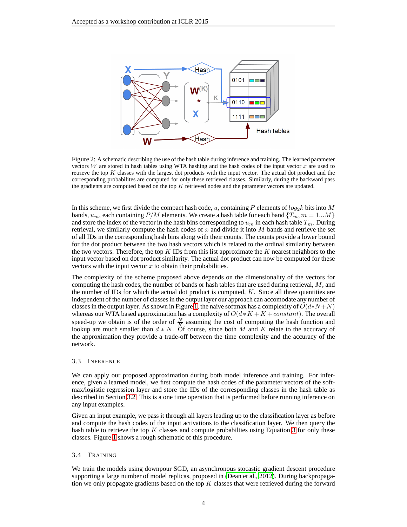

<span id="page-3-0"></span>Figure 2: A schematic describing the use of the hash table during inference and training. The learned parameter vectors  $W$  are stored in hash tables using WTA hashing and the hash codes of the input vector  $x$  are used to retrieve the top  $K$  classes with the largest dot products with the input vector. The actual dot product and the corresponding probabilites are computed for only these retrieved classes. Similarly, during the backward pass the gradients are computed based on the top  $K$  retrieved nodes and the parameter vectors are updated.

In this scheme, we first divide the compact hash code, u, containing P elements of  $log_2 k$  bits into M bands,  $u_m$ , each containing  $P/M$  elements. We create a hash table for each band  $\{T_m, m = 1...M\}$ and store the index of the vector in the hash bins corresponding to  $u_m$  in each hash table  $T_m$ . During retrieval, we similarly compute the hash codes of  $x$  and divide it into  $M$  bands and retrieve the set of all IDs in the corresponding hash bins along with their counts. The counts provide a lower bound for the dot product between the two hash vectors which is related to the ordinal similarity between the two vectors. Therefore, the top  $K$  IDs from this list approximate the  $K$  nearest neighbors to the input vector based on dot product similarity. The actual dot product can now be computed for these vectors with the input vector  $x$  to obtain their probabilities.

The complexity of the scheme proposed above depends on the dimensionality of the vectors for computing the hash codes, the number of bands or hash tables that are used during retrieval,  $M$ , and the number of IDs for which the actual dot product is computed,  $K$ . Since all three quantities are independent of the number of classes in the output layer our approach can accomodate any number of classes in the output layer. As shown in Figure [1,](#page-2-0) the naive softmax has a complexity of  $O(d*N+N)$ whereas our WTA based approximation has a complexity of  $O(d * K + K + constant)$ . The overall speed-up we obtain is of the order of  $\frac{N}{K}$  assuming the cost of computing the hash function and lookup are much smaller than  $d * N$ . Of course, since both M and K relate to the accuracy of the approximation they provide a trade-off between the time complexity and the accuracy of the network.

#### 3.3 INFERENCE

We can apply our proposed approximation during both model inference and training. For inference, given a learned model, we first compute the hash codes of the parameter vectors of the softmax/logistic regression layer and store the IDs of the corresponding classes in the hash table as described in Section [3.2.](#page-2-1) This is a one time operation that is performed before running inference on any input examples.

Given an input example, we pass it through all layers leading up to the classification layer as before and compute the hash codes of the input activations to the classification layer. We then query the hash table to retrieve the top  $K$  classes and compute probabilties using Equation [3](#page-1-0) for only these classes. Figure [1](#page-2-0) shows a rough schematic of this procedure.

#### 3.4 TRAINING

We train the models using downpour SGD, an asynchronous stocastic gradient descent procedure supporting a large number of model replicas, proposed in [\(Dean et al.](#page-8-12), [2012](#page-8-12)). During backpropagation we only propagate gradients based on the top  $K$  classes that were retrieved during the forward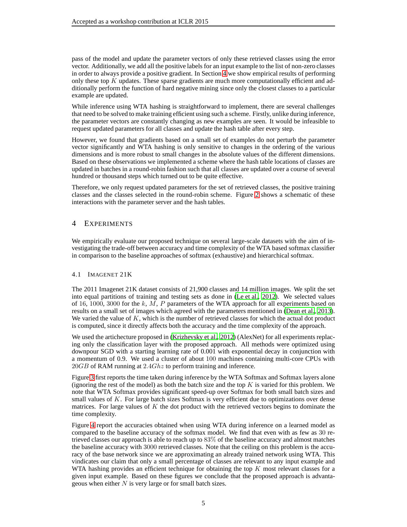pass of the model and update the parameter vectors of only these retrieved classes using the error vector. Additionally, we add all the positive labels for an input example to the list of non-zero classes in order to always provide a positive gradient. In Section [4](#page-4-0) we show empirical results of performing only these top  $K$  updates. These sparse gradients are much more computationally efficient and additionally perform the function of hard negative mining since only the closest classes to a particular example are updated.

While inference using WTA hashing is straightforward to implement, there are several challenges that need to be solved to make training efficient using such a scheme. Firstly, unlike during inference, the parameter vectors are constantly changing as new examples are seen. It would be infeasible to request updated parameters for all classes and update the hash table after every step.

However, we found that gradients based on a small set of examples do not perturb the parameter vector significantly and WTA hashing is only sensitive to changes in the ordering of the various dimensions and is more robust to small changes in the absolute values of the different dimensions. Based on these observations we implemented a scheme where the hash table locations of classes are updated in batches in a round-robin fashion such that all classes are updated over a course of several hundred or thousand steps which turned out to be quite effective.

Therefore, we only request updated parameters for the set of retrieved classes, the positive training classes and the classes selected in the round-robin scheme. Figure [2](#page-3-0) shows a schematic of these interactions with the parameter server and the hash tables.

# <span id="page-4-0"></span>4 EXPERIMENTS

We empirically evaluate our proposed technique on several large-scale datasets with the aim of investigating the trade-off between accuracy and time complexity of the WTA based softmax classifier in comparison to the baseline approaches of softmax (exhaustive) and hierarchical softmax.

# 4.1 IMAGENET 21K

The 2011 Imagenet 21K dataset consists of 21,900 classes and 14 million images. We split the set into equal partitions of training and testing sets as done in [\(Le et al.](#page-8-13), [2012\)](#page-8-13). We selected values of 16, 1000, 3000 for the  $k$ ,  $M$ ,  $P$  parameters of the WTA approach for all experiments based on results on a small set of images which agreed with the parameters mentioned in [\(Dean et al.](#page-8-8), [2013](#page-8-8)). We varied the value of  $K$ , which is the number of retrieved classes for which the actual dot product is computed, since it directly affects both the accuracy and the time complexity of the approach.

We used the artichecture proposed in [\(Krizhevsky et al., 2012\)](#page-8-0) (AlexNet) for all experiments replacing only the classification layer with the proposed approach. All methods were optimized using downpour SGD with a starting learning rate of 0.001 with exponential decay in conjunction with a momentum of 0.9. We used a cluster of about 100 machines containing multi-core CPUs with  $20GB$  of RAM running at  $2.4Ghz$  to perform training and inference.

Figure [3](#page-5-0) first reports the time taken during inference by the WTA Softmax and Softmax layers alone (ignoring the rest of the model) as both the batch size and the top  $K$  is varied for this problem. We note that WTA Softmax provides significant speed-up over Softmax for both small batch sizes and small values of K. For large batch sizes Softmax is very efficient due to optimizations over dense matrices. For large values of  $K$  the dot product with the retrieved vectors begins to dominate the time complexity.

Figure [4](#page-5-1) report the accuracies obtained when using WTA during inference on a learned model as compared to the baseline accuracy of the softmax model. We find that even with as few as 30 retrieved classes our approach is able to reach up to 83% of the baseline accuracy and almost matches the baseline accuracy with 3000 retrieved classes. Note that the ceiling on this problem is the accuracy of the base network since we are approximating an already trained network using WTA. This vindicates our claim that only a small percentage of classes are relevant to any input example and WTA hashing provides an efficient technique for obtaining the top  $K$  most relevant classes for a given input example. Based on these figures we conclude that the proposed approach is advantageous when either  $N$  is very large or for small batch sizes.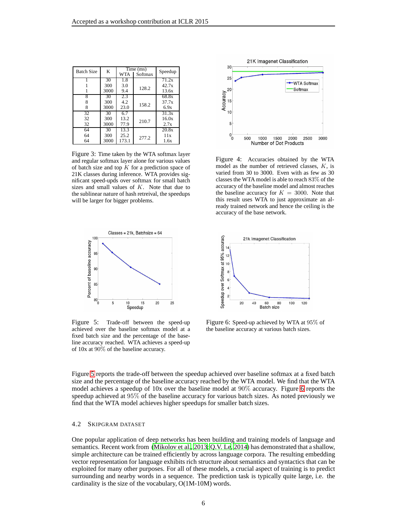| K<br><b>Batch Size</b> |      | Time (ms) |         | Speedup            |
|------------------------|------|-----------|---------|--------------------|
|                        |      | WTA       | Softmax |                    |
|                        | 30   | 1.8       |         | 71.2x              |
|                        | 300  | 3.0       | 128.2   | 42.7x              |
|                        | 3000 | 9.4       |         | 13.6x              |
| 8                      | 30   | 2.3       |         | 68.8x              |
|                        | 300  | 4.2       | 158.2   | 37.7x              |
| 8                      | 3000 | 23.0      |         | 6.9x               |
| 32                     | 30   | 6.7       |         | $31.\overline{3x}$ |
| 32                     | 300  | 13.2      | 210.7   | 16.0x              |
| 32                     | 3000 | 77.9      |         | 2.7x               |
| 64                     | 30   | 13.3      |         | 20.8x              |
| 64                     | 300  | 25.2      | 277.2   | 11x                |
| 64                     | 3000 | 173.1     |         | 1.6x               |

<span id="page-5-0"></span>Figure 3: Time taken by the WTA softmax layer and regular softmax layer alone for various values of batch size and top  $K$  for a prediction space of 21K classes during inference. WTA provides significant speed-upds over softmax for small batch sizes and small values of  $K$ . Note that due to the sublinear nature of hash retreival, the speedups will be larger for bigger problems.



<span id="page-5-1"></span>Figure 4: Accuracies obtained by the WTA model as the number of retrieved classes, K, is varied from 30 to 3000. Even with as few as 30 classes the WTA model is able to reach 83% of the accuracy of the baseline model and almost reaches the baseline accuracy for  $K = 3000$ . Note that this result uses WTA to just approximate an already trained network and hence the ceiling is the accuracy of the base network.



<span id="page-5-2"></span>Figure 5: Trade-off between the speed-up achieved over the baseline softmax model at a fixed batch size and the percentage of the baseline accuracy reached. WTA achieves a speed-up of 10x at 90% of the baseline accuracy.



<span id="page-5-3"></span>Figure 6: Speed-up achieved by WTA at 95% of the baseline accuracy at various batch sizes.

Figure [5](#page-5-2) reports the trade-off between the speedup achieved over baseline softmax at a fixed batch size and the percentage of the baseline accuracy reached by the WTA model. We find that the WTA model achieves a speedup of 10x over the baseline model at 90% accuracy. Figure [6](#page-5-3) reports the speedup achieved at 95% of the baseline accuracy for various batch sizes. As noted previously we find that the WTA model achieves higher speedups for smaller batch sizes.

#### 4.2 SKIPGRAM DATASET

One popular application of deep networks has been building and training models of language and semantics. Recent work from [\(Mikolov et al.](#page-8-1), [2013;](#page-8-1) [Q.V. Le, 2014\)](#page-8-14) has demonstrated that a shallow, simple architecture can be trained efficiently by across language corpora. The resulting embedding vector representation for language exhibits rich structure about semantics and syntactics that can be exploited for many other purposes. For all of these models, a crucial aspect of training is to predict surrounding and nearby words in a sequence. The prediction task is typically quite large, i.e. the cardinality is the size of the vocabulary, O(1M-10M) words.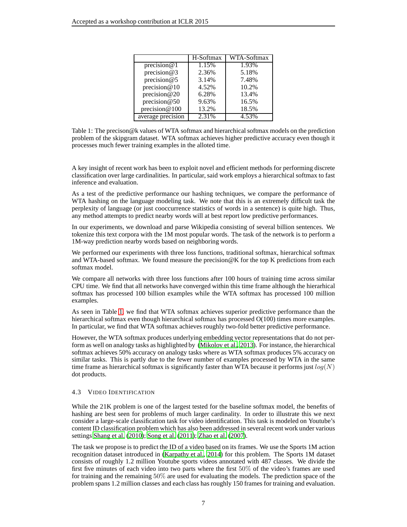|                   | H-Softmax | WTA-Softmax |
|-------------------|-----------|-------------|
| precision $@1$    | 1.15%     | 1.93%       |
| precision@3       | 2.36%     | 5.18%       |
| precision@5       | 3.14%     | 7.48%       |
| precision $@10$   | 4.52%     | 10.2%       |
| precision $@20$   | 6.28%     | 13.4%       |
| precision $@50$   | 9.63%     | 16.5%       |
| precision $@100$  | 13.2%     | 18.5%       |
| average precision | 2.31%     | 4.53%       |

<span id="page-6-0"></span>Table 1: The precison@k values of WTA softmax and hierarchical softmax models on the prediction problem of the skipgram dataset. WTA softmax achieves higher predictive accuracy even though it processes much fewer training examples in the alloted time.

A key insight of recent work has been to exploit novel and efficient methods for performing discrete classification over large cardinalities. In particular, said work employs a hierarchical softmax to fast inference and evaluation.

As a test of the predictive performance our hashing techniques, we compare the performance of WTA hashing on the language modeling task. We note that this is an extremely difficult task the perplexity of language (or just cooccurrence statistics of words in a sentence) is quite high. Thus, any method attempts to predict nearby words will at best report low predictive performances.

In our experiments, we download and parse Wikipedia consisting of several billion sentences. We tokenize this text corpora with the 1M most popular words. The task of the network is to perform a 1M-way prediction nearby words based on neighboring words.

We performed our experiments with three loss functions, traditional softmax, hierarchical softmax and WTA-based softmax. We found measure the precision@K for the top K predictions from each softmax model.

We compare all networks with three loss functions after 100 hours of training time across similar CPU time. We find that all networks have converged within this time frame although the hierarhical softmax has processed 100 billion examples while the WTA softmax has processed 100 million examples.

As seen in Table [1,](#page-6-0) we find that WTA softmax achieves superior predictive performance than the hierarchical softmax even though hierarchical softmax has processed  $O(100)$  times more examples. In particular, we find that WTA softmax achieves roughly two-fold better predictive performance.

However, the WTA softmax produces underlying embedding vector representations that do not perform as well on analogy tasks as highlighted by [\(Mikolov et al., 2013](#page-8-1)). For instance, the hierarchical softmax achieves 50% accuracy on analogy tasks where as WTA softmax produces 5% accuracy on similar tasks. This is partly due to the fewer number of examples processed by WTA in the same time frame as hierarchical softmax is significantly faster than WTA because it performs just  $log(N)$ dot products.

# 4.3 VIDEO IDENTIFICATION

While the 21K problem is one of the largest tested for the baseline softmax model, the benefits of hashing are best seen for problems of much larger cardinality. In order to illustrate this we next consider a large-scale classification task for video identification. This task is modeled on Youtube's content ID classification problem which has also been addressed in several recent work under various settings [Shang et al.](#page-8-4) [\(2010\)](#page-8-4); [Song et al. \(2011](#page-8-5)); [Zhao et al.](#page-8-6) [\(2007\)](#page-8-6).

The task we propose is to predict the ID of a video based on its frames. We use the Sports 1M action recognition dataset introduced in [\(Karpathy et al.](#page-8-2), [2014](#page-8-2)) for this problem. The Sports 1M dataset consists of roughly 1.2 million Youtube sports videos annotated with 487 classes. We divide the first five minutes of each video into two parts where the first 50% of the video's frames are used for training and the remaining 50% are used for evaluating the models. The prediction space of the problem spans 1.2 million classes and each class has roughly 150 frames for training and evaluation.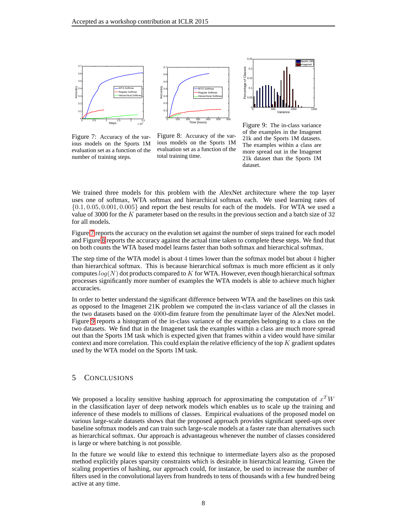

<span id="page-7-0"></span>Figure 7: Accuracy of the various models on the Sports 1M evaluation set as a function of the number of training steps.

<span id="page-7-1"></span>Figure 8: Accuracy of the various models on the Sports 1M evaluation set as a function of the total training time.



<span id="page-7-2"></span>Figure 9: The in-class variance of the examples in the Imagenet 21k and the Sports 1M datasets. The examples within a class are more spread out in the Imagenet 21k dataset than the Sports 1M dataset.

We trained three models for this problem with the AlexNet architecture where the top layer uses one of softmax, WTA softmax and hierarchical softmax each. We used learning rates of  $\{0.1, 0.05, 0.001, 0.005\}$  and report the best results for each of the models. For WTA we used a value of 3000 for the K parameter based on the results in the previous section and a batch size of 32 for all models.

Figure [7](#page-7-0) reports the accuracy on the evalution set against the number of steps trained for each model and Figure [8](#page-7-1) reports the accuracy against the actual time taken to complete these steps. We find that on both counts the WTA based model learns faster than both softmax and hierarchical softmax.

The step time of the WTA model is about 4 times lower than the softmax model but about 4 higher than hierarchical softmax. This is because hierarchical softmax is much more efficient as it only computes  $log(N)$  dot products compared to K for WTA. However, even though hierarchical softmax processes significantly more number of examples the WTA models is able to achieve much higher accuracies.

In order to better understand the significant difference between WTA and the baselines on this task as opposed to the Imagenet 21K problem we computed the in-class variance of all the classes in the two datasets based on the 4000-dim feature from the penultimate layer of the AlexNet model. Figure [9](#page-7-2) reports a histogram of the in-class variance of the examples belonging to a class on the two datasets. We find that in the Imagenet task the examples within a class are much more spread out than the Sports 1M task which is expected given that frames within a video would have similar context and more correlation. This could explain the relative efficiency of the top  $K$  gradient updates used by the WTA model on the Sports 1M task.

# 5 CONCLUSIONS

We proposed a locality sensitive hashing approach for approximating the computation of  $x^TW$ in the classification layer of deep network models which enables us to scale up the training and inference of these models to millions of classes. Empirical evaluations of the proposed model on various large-scale datasets shows that the proposed approach provides significant speed-ups over baseline softmax models and can train such large-scale models at a faster rate than alternatives such as hierarchical softmax. Our approach is advantageous whenever the number of classes considered is large or where batching is not possible.

In the future we would like to extend this technique to intermediate layers also as the proposed method explicitly places sparsity constraints which is desirable in hierarchical learning. Given the scaling properties of hashing, our approach could, for instance, be used to increase the number of filters used in the convolutional layers from hundreds to tens of thousands with a few hundred being active at any time.